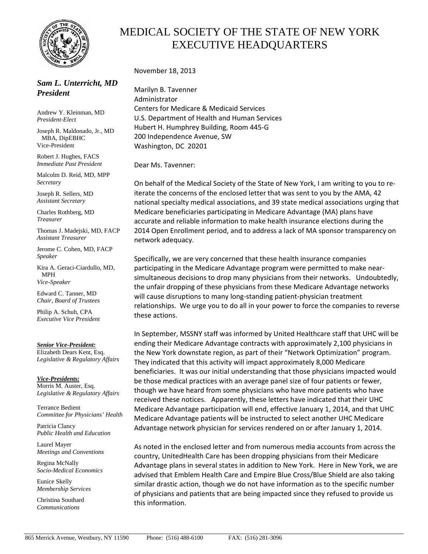

## *Sam L. Unterricht, MD President*

Andrew Y. Kleinman, MD *President-Elect* 

Joseph R. Maldonado, Jr., MD MBA, DipEBHC Vice-President

Robert J. Hughes, FACS *Immediate Past President* 

Malcolm D. Reid, MD, MPP *Secretary* 

Joseph R. Sellers, MD *Assistant Secretary*

Charles Rothberg, MD *Treasurer* 

Thomas J. Madejski, MD, FACP *Assistant Treasurer*

Jerome C. Cohen, MD, FACP *Speaker* 

Kira A. Geraci-Ciardullo, MD, MPH *Vice-Speaker* 

Edward C. Tanner, MD *Chair, Board of Trustees* 

Philip A. Schuh, CPA *Executive Vice President* 

## *Senior Vice-President:*

Elizabeth Dears Kent, Esq. *Legislative & Regulatory Affairs* 

*Vice-Presidents:* Morris M. Auster, Esq. *Legislative & Regulatory Affairs*

Terrance Bedient *Committee for Physicians' Health* 

Patricia Clancy *Public Health and Education* 

Laurel Mayer *Meetings and Conventions* 

Regina McNally *Socio-Medical Economics* 

Eunice Skelly *Membership Services* 

Christina Southard *Communications* 

## MEDICAL SOCIETY OF THE STATE OF NEW YORK EXECUTIVE HEADQUARTERS

November 18, 2013

Marilyn B. Tavenner Administrator Centers for Medicare & Medicaid Services U.S. Department of Health and Human Services Hubert H. Humphrey Building, Room 445‐G 200 Independence Avenue, SW Washington, DC 20201

Dear Ms. Tavenner:

On behalf of the Medical Society of the State of New York, I am writing to you to re‐ iterate the concerns of the enclosed letter that was sent to you by the AMA, 42 national specialty medical associations, and 39 state medical associations urging that Medicare beneficiaries participating in Medicare Advantage (MA) plans have accurate and reliable information to make health insurance elections during the 2014 Open Enrollment period, and to address a lack of MA sponsor transparency on network adequacy.

Specifically, we are very concerned that these health insurance companies participating in the Medicare Advantage program were permitted to make near‐ simultaneous decisions to drop many physicians from their networks. Undoubtedly, the unfair dropping of these physicians from these Medicare Advantage networks will cause disruptions to many long‐standing patient‐physician treatment relationships. We urge you to do all in your power to force the companies to reverse these actions.

In September, MSSNY staff was informed by United Healthcare staff that UHC will be ending their Medicare Advantage contracts with approximately 2,100 physicians in the New York downstate region, as part of their "Network Optimization" program. They indicated that this activity will impact approximately 8,000 Medicare beneficiaries. It was our initial understanding that those physicians impacted would be those medical practices with an average panel size of four patients or fewer, though we have heard from some physicians who have more patients who have received these notices. Apparently, these letters have indicated that their UHC Medicare Advantage participation will end, effective January 1, 2014, and that UHC Medicare Advantage patients will be instructed to select another UHC Medicare Advantage network physician for services rendered on or after January 1, 2014.

As noted in the enclosed letter and from numerous media accounts from across the country, UnitedHealth Care has been dropping physicians from their Medicare Advantage plans in several states in addition to New York. Here in New York, we are advised that Emblem Health Care and Empire Blue Cross/Blue Shield are also taking similar drastic action, though we do not have information as to the specific number of physicians and patients that are being impacted since they refused to provide us this information.